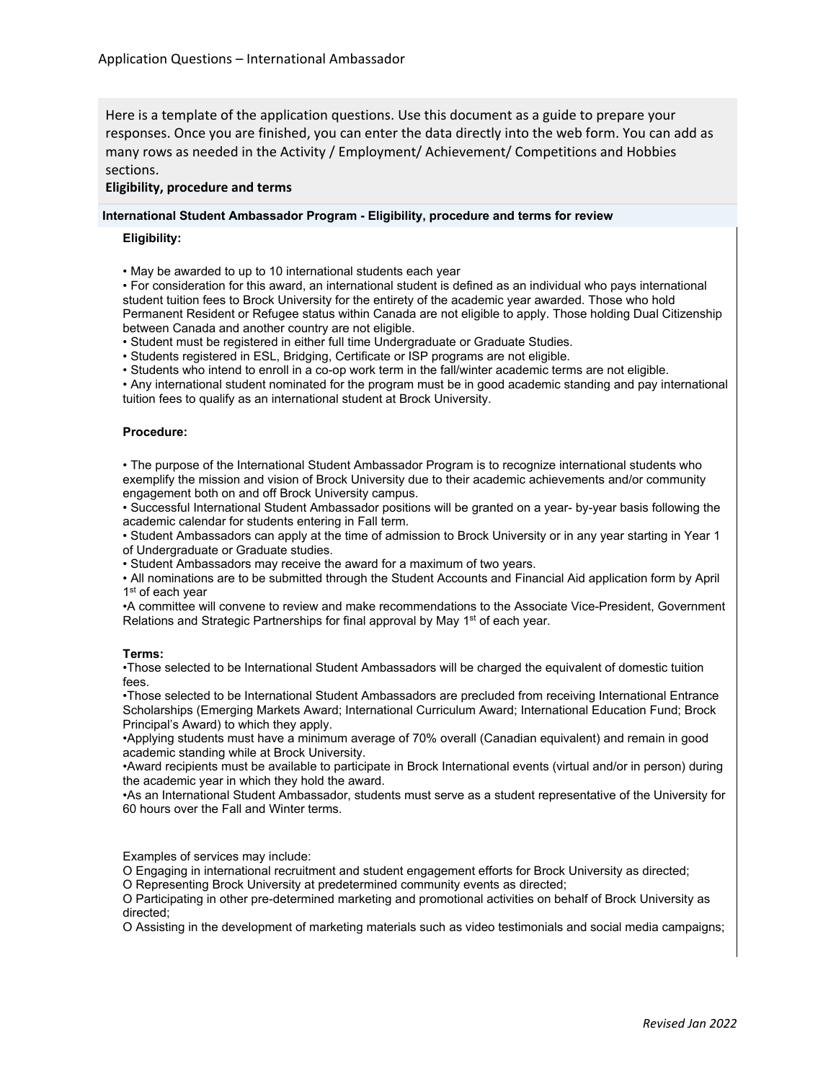Here is a template of the application questions. Use this document as a guide to prepare your responses. Once you are finished, you can enter the data directly into the web form. You can add as many rows as needed in the Activity / Employment/ Achievement/ Competitions and Hobbies sections.

# **Eligibility, procedure and terms**

#### **International Student Ambassador Program - Eligibility, procedure and terms for review**

#### **Eligibility:**

• May be awarded to up to 10 international students each year

• For consideration for this award, an international student is defined as an individual who pays international student tuition fees to Brock University for the entirety of the academic year awarded. Those who hold Permanent Resident or Refugee status within Canada are not eligible to apply. Those holding Dual Citizenship between Canada and another country are not eligible.

• Student must be registered in either full time Undergraduate or Graduate Studies.

• Students registered in ESL, Bridging, Certificate or ISP programs are not eligible.

• Students who intend to enroll in a co-op work term in the fall/winter academic terms are not eligible.

• Any international student nominated for the program must be in good academic standing and pay international tuition fees to qualify as an international student at Brock University.

#### **Procedure:**

• The purpose of the International Student Ambassador Program is to recognize international students who exemplify the mission and vision of Brock University due to their academic achievements and/or community engagement both on and off Brock University campus.

• Successful International Student Ambassador positions will be granted on a year- by-year basis following the academic calendar for students entering in Fall term.

• Student Ambassadors can apply at the time of admission to Brock University or in any year starting in Year 1 of Undergraduate or Graduate studies.

• Student Ambassadors may receive the award for a maximum of two years.

• All nominations are to be submitted through the Student Accounts and Financial Aid application form by April 1<sup>st</sup> of each year

•A committee will convene to review and make recommendations to the Associate Vice-President, Government Relations and Strategic Partnerships for final approval by May 1<sup>st</sup> of each year.

#### **Terms:**

•Those selected to be International Student Ambassadors will be charged the equivalent of domestic tuition fees.

•Those selected to be International Student Ambassadors are precluded from receiving International Entrance Scholarships (Emerging Markets Award; International Curriculum Award; International Education Fund; Brock Principal's Award) to which they apply.

•Applying students must have a minimum average of 70% overall (Canadian equivalent) and remain in good academic standing while at Brock University.

•Award recipients must be available to participate in Brock International events (virtual and/or in person) during the academic year in which they hold the award.

•As an International Student Ambassador, students must serve as a student representative of the University for 60 hours over the Fall and Winter terms.

Examples of services may include:

O Engaging in international recruitment and student engagement efforts for Brock University as directed; O Representing Brock University at predetermined community events as directed;

O Participating in other pre-determined marketing and promotional activities on behalf of Brock University as directed;

O Assisting in the development of marketing materials such as video testimonials and social media campaigns;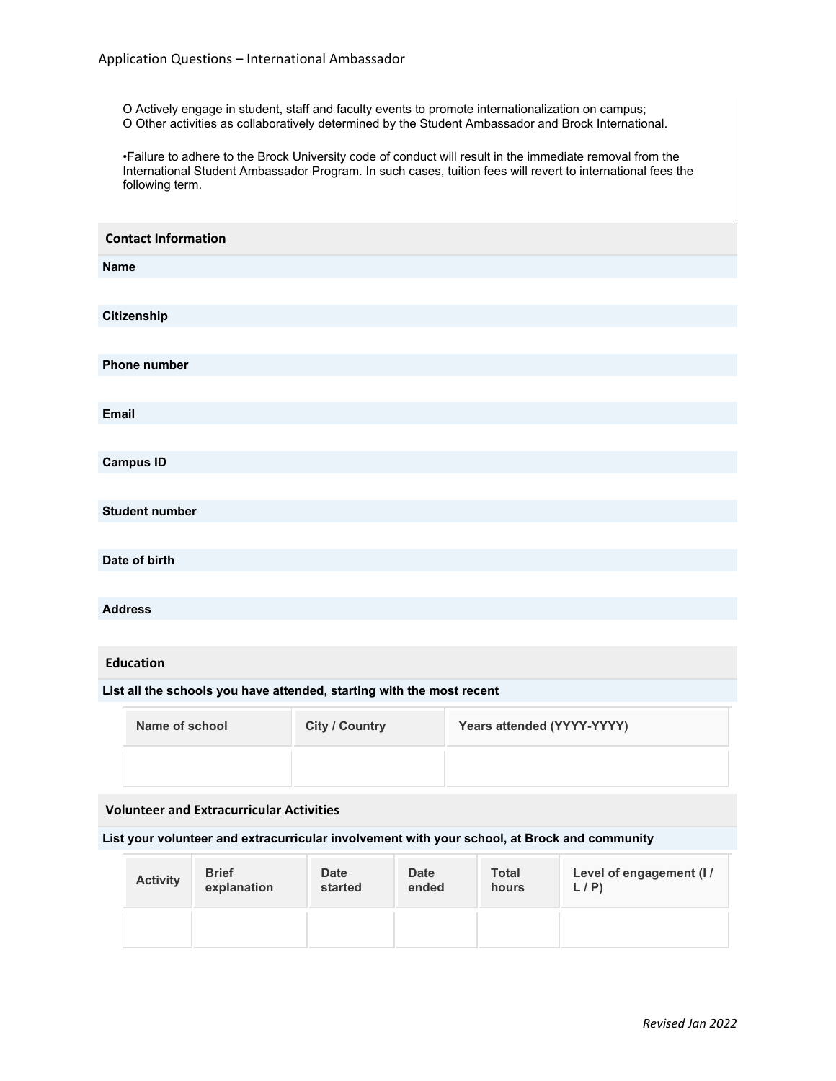O Actively engage in student, staff and faculty events to promote internationalization on campus; O Other activities as collaboratively determined by the Student Ambassador and Brock International.

•Failure to adhere to the Brock University code of conduct will result in the immediate removal from the International Student Ambassador Program. In such cases, tuition fees will revert to international fees the following term.

| <b>Contact Information</b>                                            |                       |                            |  |
|-----------------------------------------------------------------------|-----------------------|----------------------------|--|
| <b>Name</b>                                                           |                       |                            |  |
|                                                                       |                       |                            |  |
| Citizenship                                                           |                       |                            |  |
|                                                                       |                       |                            |  |
| <b>Phone number</b>                                                   |                       |                            |  |
|                                                                       |                       |                            |  |
| <b>Email</b>                                                          |                       |                            |  |
|                                                                       |                       |                            |  |
| <b>Campus ID</b>                                                      |                       |                            |  |
|                                                                       |                       |                            |  |
| <b>Student number</b>                                                 |                       |                            |  |
|                                                                       |                       |                            |  |
| Date of birth                                                         |                       |                            |  |
|                                                                       |                       |                            |  |
| <b>Address</b>                                                        |                       |                            |  |
|                                                                       |                       |                            |  |
| <b>Education</b>                                                      |                       |                            |  |
| List all the schools you have attended, starting with the most recent |                       |                            |  |
| Name of school                                                        | <b>City / Country</b> | Years attended (YYYY-YYYY) |  |
|                                                                       |                       |                            |  |
| <b>Volunteer and Extracurricular Activities</b>                       |                       |                            |  |
|                                                                       |                       |                            |  |

**List your volunteer and extracurricular involvement with your school, at Brock and community**

| <b>Activity</b> | <b>Brief</b> | <b>Date</b> | <b>Date</b> | <b>Total</b> | Level of engagement (I / |
|-----------------|--------------|-------------|-------------|--------------|--------------------------|
|                 | explanation  | started     | ended       | hours        | L/P                      |
|                 |              |             |             |              |                          |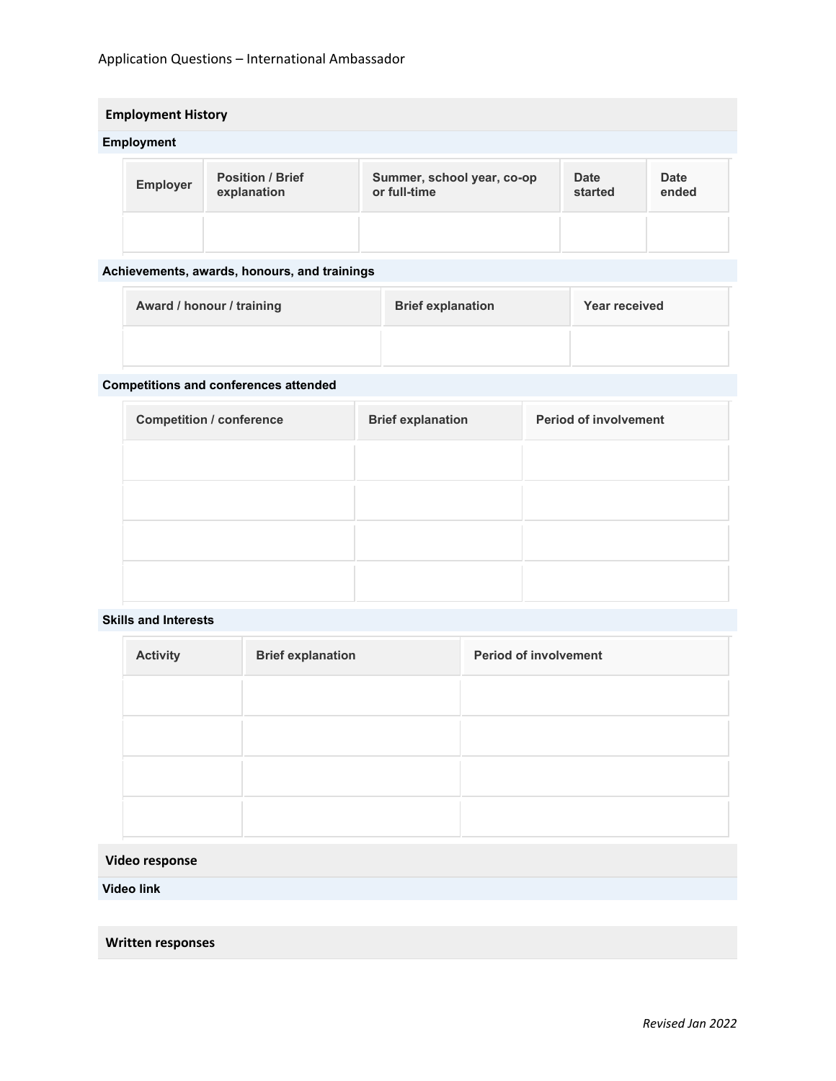# Application Questions – International Ambassador

# **Employment History**

# **Employment**

| <b>Employer</b> | <b>Position / Brief</b><br>explanation | Summer, school year, co-op<br>or full-time | <b>Date</b><br>started | <b>Date</b><br>ended |
|-----------------|----------------------------------------|--------------------------------------------|------------------------|----------------------|
|                 |                                        |                                            |                        |                      |

# **Achievements, awards, honours, and trainings**

| Award / honour / training | <b>Brief explanation</b> | Year received |
|---------------------------|--------------------------|---------------|
|                           |                          |               |

# **Competitions and conferences attended**

| <b>Competition / conference</b> | <b>Brief explanation</b> | <b>Period of involvement</b> |
|---------------------------------|--------------------------|------------------------------|
|                                 |                          |                              |
|                                 |                          |                              |
|                                 |                          |                              |
|                                 |                          |                              |
|                                 |                          |                              |

### **Skills and Interests**

| <b>Activity</b> | <b>Brief explanation</b> | <b>Period of involvement</b> |
|-----------------|--------------------------|------------------------------|
|                 |                          |                              |
|                 |                          |                              |
|                 |                          |                              |
|                 |                          |                              |

# **Video response**

**Video link**

**Written responses**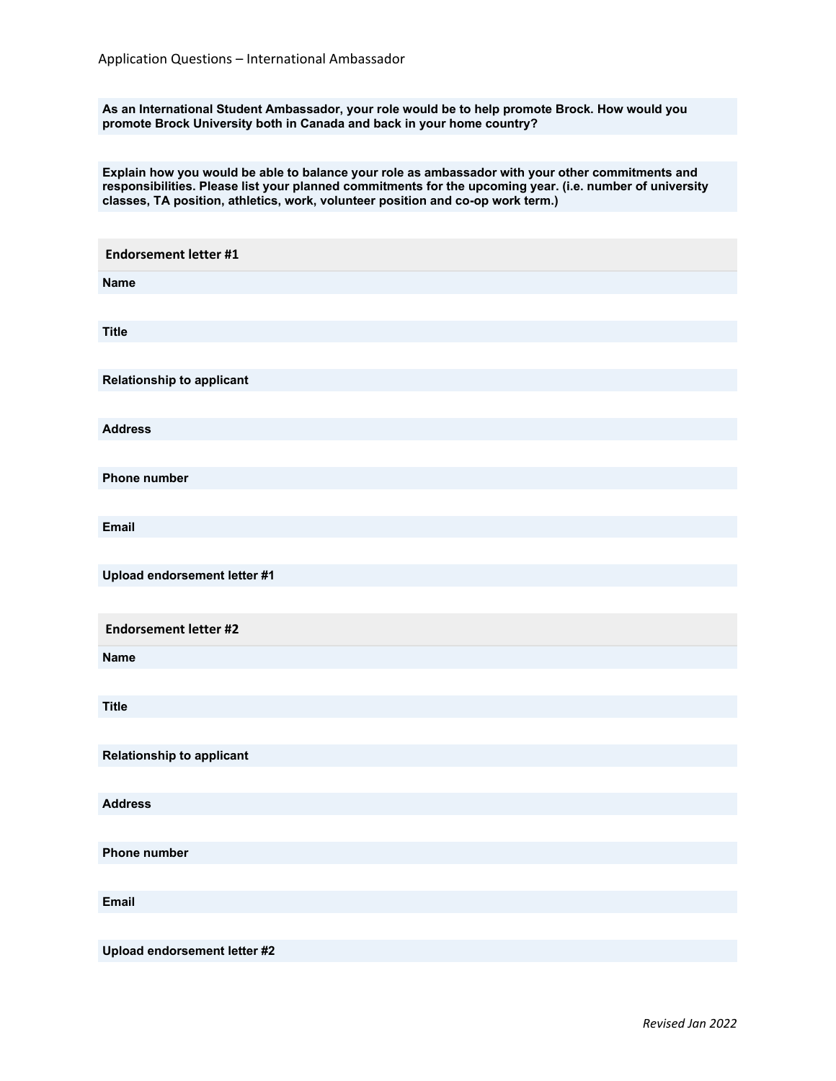**As an International Student Ambassador, your role would be to help promote Brock. How would you promote Brock University both in Canada and back in your home country?**

**Explain how you would be able to balance your role as ambassador with your other commitments and responsibilities. Please list your planned commitments for the upcoming year. (i.e. number of university classes, TA position, athletics, work, volunteer position and co-op work term.)**

| <b>Endorsement letter #1</b>     |
|----------------------------------|
| <b>Name</b>                      |
|                                  |
| <b>Title</b>                     |
|                                  |
| <b>Relationship to applicant</b> |
|                                  |
| <b>Address</b>                   |
|                                  |
| <b>Phone number</b>              |
| <b>Email</b>                     |
|                                  |
| Upload endorsement letter #1     |
|                                  |
| <b>Endorsement letter #2</b>     |
| <b>Name</b>                      |
|                                  |
| <b>Title</b>                     |
|                                  |
| <b>Relationship to applicant</b> |
|                                  |
| <b>Address</b>                   |
|                                  |
| Phone number                     |
|                                  |
| <b>Email</b>                     |
|                                  |
| Upload endorsement letter #2     |